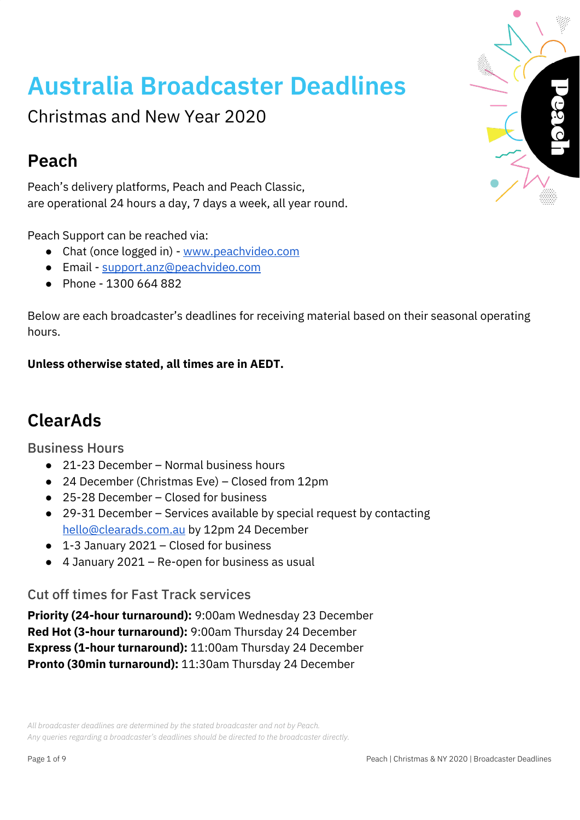# **Australia Broadcaster Deadlines**

Christmas and New Year 2020

## **Peach**

Peach's delivery platforms, Peach and Peach Classic, are operational 24 hours a day, 7 days a week, all year round.

Peach Support can be reached via:

- Chat (once logged in) [www.peachvideo.com](http://www.peachvideo.com/)
- Email [support.anz@peachvideo.com](mailto:support.anz@peachvideo.com)
- Phone 1300 664 882

Below are each broadcaster's deadlines for receiving material based on their seasonal operating hours.

#### **Unless otherwise stated, all times are in AEDT.**

## **ClearAds**

Business Hours

- 21-23 December Normal business hours
- 24 December (Christmas Eve) Closed from 12pm
- 25-28 December Closed for business
- 29-31 December Services available by special request by contacting [hello@clearads.com.au](mailto:hello@clearads.com.au) by 12pm 24 December
- 1-3 January 2021 Closed for business
- 4 January 2021 Re-open for business as usual

#### Cut off times for Fast Track services

**Priority (24-hour turnaround):** 9:00am Wednesday 23 December **Red Hot (3-hour turnaround):** 9:00am Thursday 24 December **Express (1-hour turnaround):** 11:00am Thursday 24 December **Pronto (30min turnaround):** 11:30am Thursday 24 December

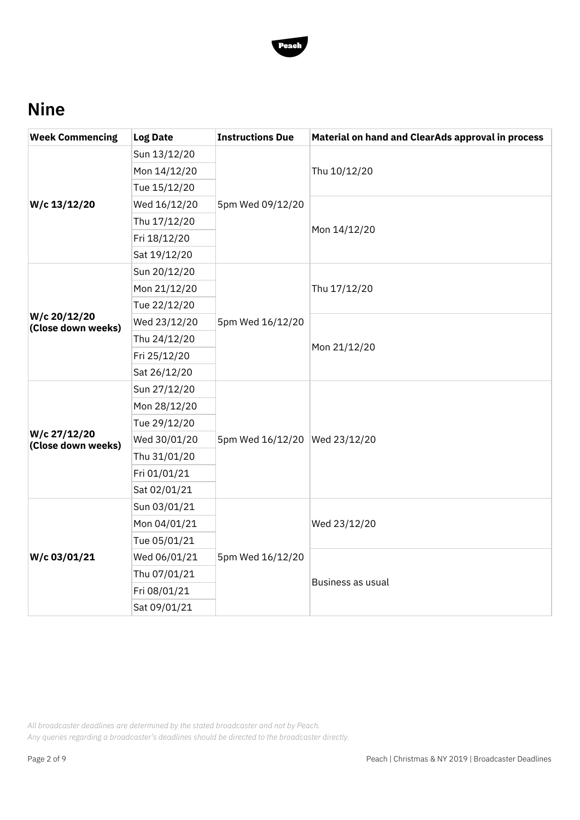

## **Nine**

| <b>Week Commencing</b>             | <b>Log Date</b> | <b>Instructions Due</b>       | Material on hand and ClearAds approval in process |  |
|------------------------------------|-----------------|-------------------------------|---------------------------------------------------|--|
| W/c 13/12/20                       | Sun 13/12/20    | 5pm Wed 09/12/20              |                                                   |  |
|                                    | Mon 14/12/20    |                               | Thu 10/12/20                                      |  |
|                                    | Tue 15/12/20    |                               |                                                   |  |
|                                    | Wed 16/12/20    |                               |                                                   |  |
|                                    | Thu 17/12/20    |                               |                                                   |  |
|                                    | Fri 18/12/20    |                               | Mon 14/12/20                                      |  |
|                                    | Sat 19/12/20    |                               |                                                   |  |
|                                    | Sun 20/12/20    |                               |                                                   |  |
|                                    | Mon 21/12/20    |                               | Thu 17/12/20                                      |  |
|                                    | Tue 22/12/20    |                               |                                                   |  |
| W/c 20/12/20<br>(Close down weeks) | Wed 23/12/20    | 5pm Wed 16/12/20              |                                                   |  |
|                                    | Thu 24/12/20    |                               | Mon 21/12/20                                      |  |
|                                    | Fri 25/12/20    |                               |                                                   |  |
|                                    | Sat 26/12/20    |                               |                                                   |  |
|                                    | Sun 27/12/20    |                               |                                                   |  |
|                                    | Mon 28/12/20    |                               |                                                   |  |
|                                    | Tue 29/12/20    |                               |                                                   |  |
| W/c 27/12/20<br>(Close down weeks) | Wed 30/01/20    | 5pm Wed 16/12/20 Wed 23/12/20 |                                                   |  |
|                                    | Thu 31/01/20    |                               |                                                   |  |
|                                    | Fri 01/01/21    |                               |                                                   |  |
|                                    | Sat 02/01/21    |                               |                                                   |  |
|                                    | Sun 03/01/21    |                               |                                                   |  |
|                                    | Mon 04/01/21    |                               | Wed 23/12/20                                      |  |
|                                    | Tue 05/01/21    |                               |                                                   |  |
| W/c 03/01/21                       | Wed 06/01/21    | 5pm Wed 16/12/20              | Business as usual                                 |  |
|                                    | Thu 07/01/21    |                               |                                                   |  |
|                                    | Fri 08/01/21    |                               |                                                   |  |
|                                    | Sat 09/01/21    |                               |                                                   |  |

*All broadcaster deadlines are determined by the stated broadcaster and not by Peach.*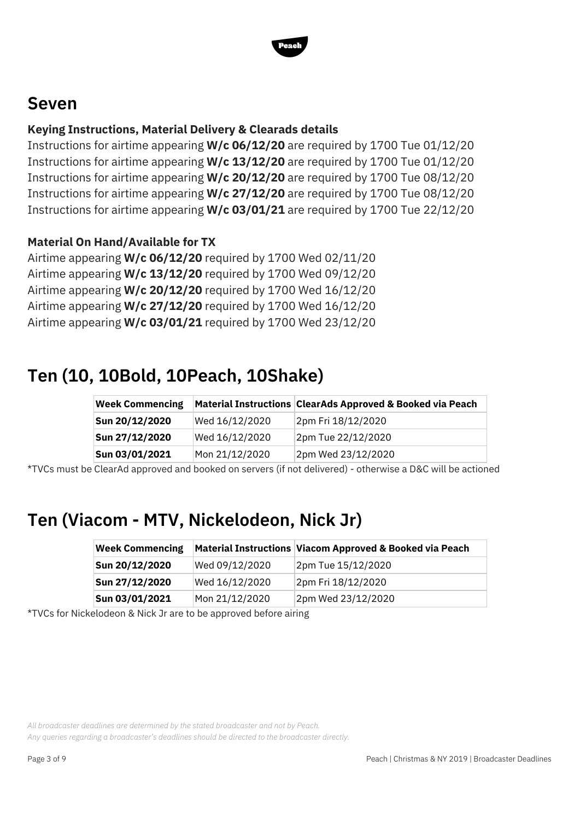

### **Seven**

#### **Keying Instructions, Material Delivery & Clearads details**

Instructions for airtime appearing **W/c 06/12/20** are required by 1700 Tue 01/12/20 Instructions for airtime appearing **W/c 13/12/20** are required by 1700 Tue 01/12/20 Instructions for airtime appearing **W/c 20/12/20** are required by 1700 Tue 08/12/20 Instructions for airtime appearing **W/c 27/12/20** are required by 1700 Tue 08/12/20 Instructions for airtime appearing **W/c 03/01/21** are required by 1700 Tue 22/12/20

#### **Material On Hand/Available for TX**

Airtime appearing **W/c 06/12/20** required by 1700 Wed 02/11/20 Airtime appearing **W/c 13/12/20** required by 1700 Wed 09/12/20 Airtime appearing **W/c 20/12/20** required by 1700 Wed 16/12/20 Airtime appearing **W/c 27/12/20** required by 1700 Wed 16/12/20 Airtime appearing **W/c 03/01/21** required by 1700 Wed 23/12/20

## **Ten (10, 10Bold, 10Peach, 10Shake)**

| <b>Week Commencing</b> |                | Material Instructions ClearAds Approved & Booked via Peach |
|------------------------|----------------|------------------------------------------------------------|
| Sun 20/12/2020         | Wed 16/12/2020 | 2pm Fri 18/12/2020                                         |
| Sun 27/12/2020         | Wed 16/12/2020 | 2pm Tue 22/12/2020                                         |
| Sun 03/01/2021         | Mon 21/12/2020 | 2pm Wed 23/12/2020                                         |

\*TVCs must be ClearAd approved and booked on servers (if not delivered) - otherwise a D&C will be actioned

## **Ten (Viacom - MTV, Nickelodeon, Nick Jr)**

| <b>Week Commencing</b> |                | Material Instructions Viacom Approved & Booked via Peach |
|------------------------|----------------|----------------------------------------------------------|
| Sun 20/12/2020         | Wed 09/12/2020 | 2pm Tue 15/12/2020                                       |
| Sun 27/12/2020         | Wed 16/12/2020 | 2pm Fri 18/12/2020                                       |
| Sun 03/01/2021         | Mon 21/12/2020 | 2pm Wed 23/12/2020                                       |

\*TVCs for Nickelodeon & Nick Jr are to be approved before airing

*All broadcaster deadlines are determined by the stated broadcaster and not by Peach.*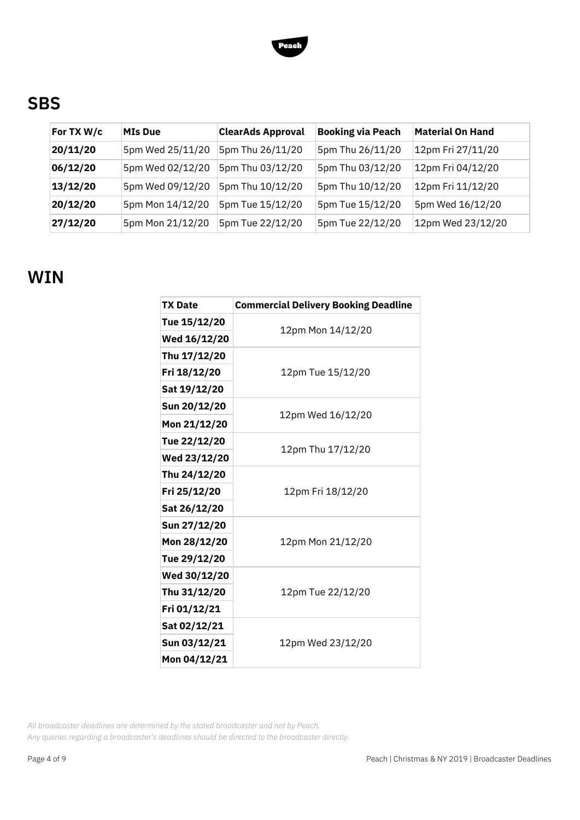

## **SBS**

| For TX W/c | <b>MIs Due</b>   | <b>ClearAds Approval</b> | <b>Booking via Peach</b> | <b>Material On Hand</b> |
|------------|------------------|--------------------------|--------------------------|-------------------------|
| 20/11/20   | 5pm Wed 25/11/20 | 5pm Thu 26/11/20         | 5pm Thu 26/11/20         | 12pm Fri 27/11/20       |
| 06/12/20   | 5pm Wed 02/12/20 | 5pm Thu 03/12/20         | 5pm Thu 03/12/20         | 12pm Fri 04/12/20       |
| 13/12/20   | 5pm Wed 09/12/20 | 5pm Thu 10/12/20         | 5pm Thu 10/12/20         | 12pm Fri 11/12/20       |
| 20/12/20   | 5pm Mon 14/12/20 | 5pm Tue 15/12/20         | 5pm Tue 15/12/20         | 5pm Wed 16/12/20        |
| 27/12/20   | 5pm Mon 21/12/20 | 5pm Tue 22/12/20         | 5pm Tue 22/12/20         | 12pm Wed 23/12/20       |

#### **WIN**

| <b>TX Date</b> | <b>Commercial Delivery Booking Deadline</b> |  |  |
|----------------|---------------------------------------------|--|--|
| Tue 15/12/20   |                                             |  |  |
| Wed 16/12/20   | 12pm Mon 14/12/20                           |  |  |
| Thu 17/12/20   |                                             |  |  |
| Fri 18/12/20   | 12pm Tue 15/12/20                           |  |  |
| Sat 19/12/20   |                                             |  |  |
| Sun 20/12/20   | 12pm Wed 16/12/20                           |  |  |
| Mon 21/12/20   |                                             |  |  |
| Tue 22/12/20   | 12pm Thu 17/12/20                           |  |  |
| Wed 23/12/20   |                                             |  |  |
| Thu 24/12/20   |                                             |  |  |
| Fri 25/12/20   | 12pm Fri 18/12/20                           |  |  |
| Sat 26/12/20   |                                             |  |  |
| Sun 27/12/20   |                                             |  |  |
| Mon 28/12/20   | 12pm Mon 21/12/20                           |  |  |
| Tue 29/12/20   |                                             |  |  |
| Wed 30/12/20   |                                             |  |  |
| Thu 31/12/20   | 12pm Tue 22/12/20                           |  |  |
| Fri 01/12/21   |                                             |  |  |
| Sat 02/12/21   |                                             |  |  |
| Sun 03/12/21   | 12pm Wed 23/12/20                           |  |  |
| Mon 04/12/21   |                                             |  |  |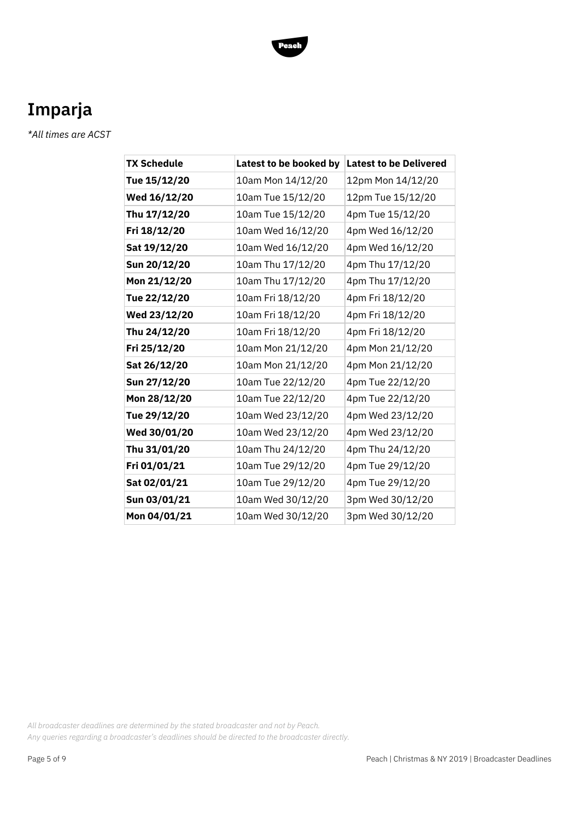

## **Imparja**

*\*All times are ACST*

| <b>TX Schedule</b> | Latest to be booked by | <b>Latest to be Delivered</b> |
|--------------------|------------------------|-------------------------------|
| Tue 15/12/20       | 10am Mon 14/12/20      | 12pm Mon 14/12/20             |
| Wed 16/12/20       | 10am Tue 15/12/20      | 12pm Tue 15/12/20             |
| Thu 17/12/20       | 10am Tue 15/12/20      | 4pm Tue 15/12/20              |
| Fri 18/12/20       | 10am Wed 16/12/20      | 4pm Wed 16/12/20              |
| Sat 19/12/20       | 10am Wed 16/12/20      | 4pm Wed 16/12/20              |
| Sun 20/12/20       | 10am Thu 17/12/20      | 4pm Thu 17/12/20              |
| Mon 21/12/20       | 10am Thu 17/12/20      | 4pm Thu 17/12/20              |
| Tue 22/12/20       | 10am Fri 18/12/20      | 4pm Fri 18/12/20              |
| Wed 23/12/20       | 10am Fri 18/12/20      | 4pm Fri 18/12/20              |
| Thu 24/12/20       | 10am Fri 18/12/20      | 4pm Fri 18/12/20              |
| Fri 25/12/20       | 10am Mon 21/12/20      | 4pm Mon 21/12/20              |
| Sat 26/12/20       | 10am Mon 21/12/20      | 4pm Mon 21/12/20              |
| Sun 27/12/20       | 10am Tue 22/12/20      | 4pm Tue 22/12/20              |
| Mon 28/12/20       | 10am Tue 22/12/20      | 4pm Tue 22/12/20              |
| Tue 29/12/20       | 10am Wed 23/12/20      | 4pm Wed 23/12/20              |
| Wed 30/01/20       | 10am Wed 23/12/20      | 4pm Wed 23/12/20              |
| Thu 31/01/20       | 10am Thu 24/12/20      | 4pm Thu 24/12/20              |
| Fri 01/01/21       | 10am Tue 29/12/20      | 4pm Tue 29/12/20              |
| Sat 02/01/21       | 10am Tue 29/12/20      | 4pm Tue 29/12/20              |
| Sun 03/01/21       | 10am Wed 30/12/20      | 3pm Wed 30/12/20              |
| Mon 04/01/21       | 10am Wed 30/12/20      | 3pm Wed 30/12/20              |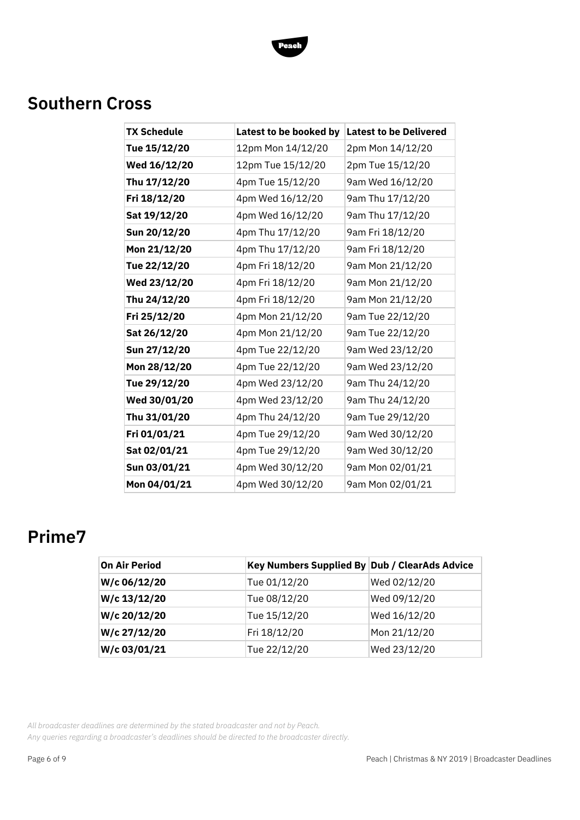

## **Southern Cross**

| <b>TX Schedule</b> | Latest to be booked by | <b>Latest to be Delivered</b> |
|--------------------|------------------------|-------------------------------|
| Tue 15/12/20       | 12pm Mon 14/12/20      | 2pm Mon 14/12/20              |
| Wed 16/12/20       | 12pm Tue 15/12/20      | 2pm Tue 15/12/20              |
| Thu 17/12/20       | 4pm Tue 15/12/20       | 9am Wed 16/12/20              |
| Fri 18/12/20       | 4pm Wed 16/12/20       | 9am Thu 17/12/20              |
| Sat 19/12/20       | 4pm Wed 16/12/20       | 9am Thu 17/12/20              |
| Sun 20/12/20       | 4pm Thu 17/12/20       | 9am Fri 18/12/20              |
| Mon 21/12/20       | 4pm Thu 17/12/20       | 9am Fri 18/12/20              |
| Tue 22/12/20       | 4pm Fri 18/12/20       | 9am Mon 21/12/20              |
| Wed 23/12/20       | 4pm Fri 18/12/20       | 9am Mon 21/12/20              |
| Thu 24/12/20       | 4pm Fri 18/12/20       | 9am Mon 21/12/20              |
| Fri 25/12/20       | 4pm Mon 21/12/20       | 9am Tue 22/12/20              |
| Sat 26/12/20       | 4pm Mon 21/12/20       | 9am Tue 22/12/20              |
| Sun 27/12/20       | 4pm Tue 22/12/20       | 9am Wed 23/12/20              |
| Mon 28/12/20       | 4pm Tue 22/12/20       | 9am Wed 23/12/20              |
| Tue 29/12/20       | 4pm Wed 23/12/20       | 9am Thu 24/12/20              |
| Wed 30/01/20       | 4pm Wed 23/12/20       | 9am Thu 24/12/20              |
| Thu 31/01/20       | 4pm Thu 24/12/20       | 9am Tue 29/12/20              |
| Fri 01/01/21       | 4pm Tue 29/12/20       | 9am Wed 30/12/20              |
| Sat 02/01/21       | 4pm Tue 29/12/20       | 9am Wed 30/12/20              |
| Sun 03/01/21       | 4pm Wed 30/12/20       | 9am Mon 02/01/21              |
| Mon 04/01/21       | 4pm Wed 30/12/20       | 9am Mon 02/01/21              |

### **Prime7**

| <b>On Air Period</b> | Key Numbers Supplied By Dub / ClearAds Advice |              |
|----------------------|-----------------------------------------------|--------------|
| W/c 06/12/20         | Tue 01/12/20                                  | Wed 02/12/20 |
| W/c 13/12/20         | Tue 08/12/20                                  | Wed 09/12/20 |
| W/c 20/12/20         | Tue 15/12/20                                  | Wed 16/12/20 |
| W/c 27/12/20         | Fri 18/12/20                                  | Mon 21/12/20 |
| W/c 03/01/21         | Tue 22/12/20                                  | Wed 23/12/20 |

*All broadcaster deadlines are determined by the stated broadcaster and not by Peach.*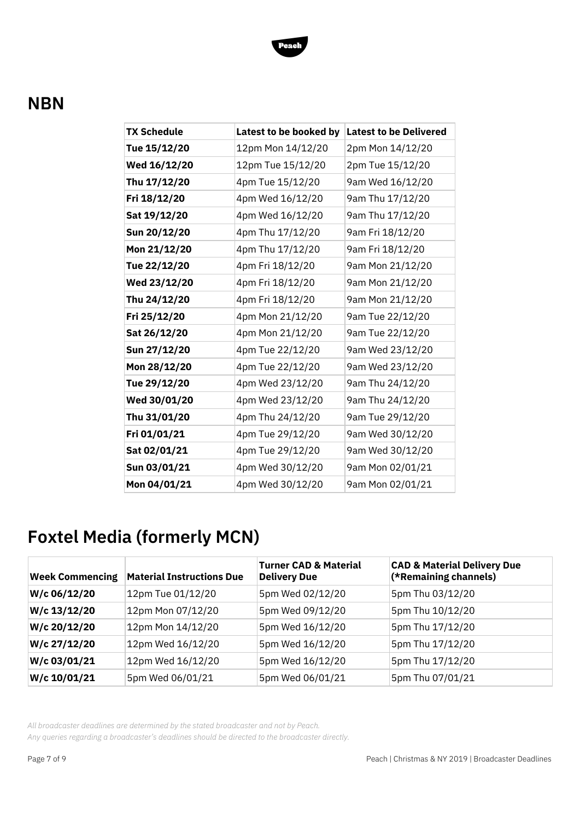

### **NBN**

| <b>TX Schedule</b> | Latest to be booked by | <b>Latest to be Delivered</b> |
|--------------------|------------------------|-------------------------------|
| Tue 15/12/20       | 12pm Mon 14/12/20      | 2pm Mon 14/12/20              |
| Wed 16/12/20       | 12pm Tue 15/12/20      | 2pm Tue 15/12/20              |
| Thu 17/12/20       | 4pm Tue 15/12/20       | 9am Wed 16/12/20              |
| Fri 18/12/20       | 4pm Wed 16/12/20       | 9am Thu 17/12/20              |
| Sat 19/12/20       | 4pm Wed 16/12/20       | 9am Thu 17/12/20              |
| Sun 20/12/20       | 4pm Thu 17/12/20       | 9am Fri 18/12/20              |
| Mon 21/12/20       | 4pm Thu 17/12/20       | 9am Fri 18/12/20              |
| Tue 22/12/20       | 4pm Fri 18/12/20       | 9am Mon 21/12/20              |
| Wed 23/12/20       | 4pm Fri 18/12/20       | 9am Mon 21/12/20              |
| Thu 24/12/20       | 4pm Fri 18/12/20       | 9am Mon 21/12/20              |
| Fri 25/12/20       | 4pm Mon 21/12/20       | 9am Tue 22/12/20              |
| Sat 26/12/20       | 4pm Mon 21/12/20       | 9am Tue 22/12/20              |
| Sun 27/12/20       | 4pm Tue 22/12/20       | 9am Wed 23/12/20              |
| Mon 28/12/20       | 4pm Tue 22/12/20       | 9am Wed 23/12/20              |
| Tue 29/12/20       | 4pm Wed 23/12/20       | 9am Thu 24/12/20              |
| Wed 30/01/20       | 4pm Wed 23/12/20       | 9am Thu 24/12/20              |
| Thu 31/01/20       | 4pm Thu 24/12/20       | 9am Tue 29/12/20              |
| Fri 01/01/21       | 4pm Tue 29/12/20       | 9am Wed 30/12/20              |
| Sat 02/01/21       | 4pm Tue 29/12/20       | 9am Wed 30/12/20              |
| Sun 03/01/21       | 4pm Wed 30/12/20       | 9am Mon 02/01/21              |
| Mon 04/01/21       | 4pm Wed 30/12/20       | 9am Mon 02/01/21              |

## **Foxtel Media (formerly MCN)**

| <b>Week Commencing</b> | <b>Material Instructions Due</b> | <b>Turner CAD &amp; Material</b><br><b>Delivery Due</b> | <b>CAD &amp; Material Delivery Due</b><br>(*Remaining channels) |
|------------------------|----------------------------------|---------------------------------------------------------|-----------------------------------------------------------------|
| W/c 06/12/20           | 12pm Tue 01/12/20                | 5pm Wed 02/12/20                                        | 5pm Thu 03/12/20                                                |
| W/c 13/12/20           | 12pm Mon 07/12/20                | 5pm Wed 09/12/20                                        | 5pm Thu 10/12/20                                                |
| W/c 20/12/20           | 12pm Mon 14/12/20                | 5pm Wed 16/12/20                                        | 5pm Thu 17/12/20                                                |
| W/c 27/12/20           | 12pm Wed 16/12/20                | 5pm Wed 16/12/20                                        | 5pm Thu 17/12/20                                                |
| W/c 03/01/21           | 12pm Wed 16/12/20                | 5pm Wed 16/12/20                                        | 5pm Thu 17/12/20                                                |
| W/c 10/01/21           | 5pm Wed 06/01/21                 | 5pm Wed 06/01/21                                        | 5pm Thu 07/01/21                                                |

*All broadcaster deadlines are determined by the stated broadcaster and not by Peach.*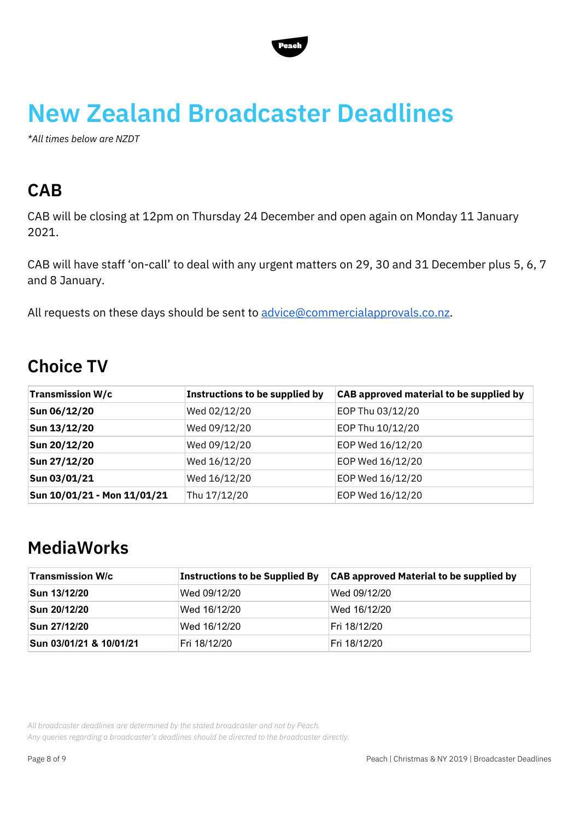

# **New Zealand Broadcaster Deadlines**

*\*All times below are NZDT*

## **CAB**

CAB will be closing at 12pm on Thursday 24 December and open again on Monday 11 January 2021.

CAB will have staff 'on-call' to deal with any urgent matters on 29, 30 and 31 December plus 5, 6, 7 and 8 January.

All requests on these days should be sent to [advice@commercialapprovals.co.nz](mailto:advice@commercialapprovals.co.nz).

## **Choice TV**

| <b>Transmission W/c</b>     | Instructions to be supplied by | <b>CAB approved material to be supplied by</b> |
|-----------------------------|--------------------------------|------------------------------------------------|
| Sun 06/12/20                | Wed 02/12/20                   | EOP Thu 03/12/20                               |
| Sun 13/12/20                | Wed 09/12/20                   | EOP Thu 10/12/20                               |
| Sun 20/12/20                | Wed 09/12/20                   | EOP Wed 16/12/20                               |
| Sun 27/12/20                | Wed 16/12/20                   | EOP Wed 16/12/20                               |
| Sun 03/01/21                | Wed 16/12/20                   | EOP Wed 16/12/20                               |
| Sun 10/01/21 - Mon 11/01/21 | Thu 17/12/20                   | EOP Wed 16/12/20                               |

### **MediaWorks**

| <b>Transmission W/c</b> | <b>Instructions to be Supplied By</b> | <b>CAB approved Material to be supplied by</b> |
|-------------------------|---------------------------------------|------------------------------------------------|
| Sun 13/12/20            | Wed 09/12/20                          | Wed 09/12/20                                   |
| Sun 20/12/20            | Wed 16/12/20                          | Wed 16/12/20                                   |
| Sun 27/12/20            | Wed 16/12/20                          | Fri 18/12/20                                   |
| Sun 03/01/21 & 10/01/21 | Fri 18/12/20                          | Fri 18/12/20                                   |

*All broadcaster deadlines are determined by the stated broadcaster and not by Peach.*